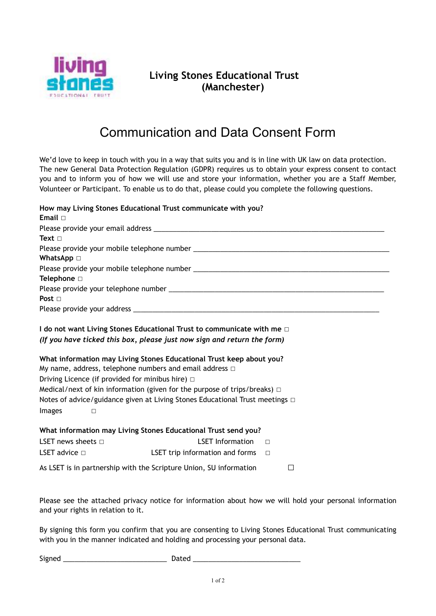

## **Living Stones Educational Trust (Manchester)**

## Communication and Data Consent Form

We'd love to keep in touch with you in a way that suits you and is in line with UK law on data protection. The new General Data Protection Regulation (GDPR) requires us to obtain your express consent to contact you and to inform you of how we will use and store your information, whether you are a Staff Member, Volunteer or Participant. To enable us to do that, please could you complete the following questions.

| Email $\Box$                                                                                                                              | How may Living Stones Educational Trust communicate with you?                                                                                                                                                                          |  |
|-------------------------------------------------------------------------------------------------------------------------------------------|----------------------------------------------------------------------------------------------------------------------------------------------------------------------------------------------------------------------------------------|--|
|                                                                                                                                           |                                                                                                                                                                                                                                        |  |
| Text $\Box$                                                                                                                               |                                                                                                                                                                                                                                        |  |
|                                                                                                                                           |                                                                                                                                                                                                                                        |  |
| <b>WhatsApp</b> □                                                                                                                         |                                                                                                                                                                                                                                        |  |
|                                                                                                                                           |                                                                                                                                                                                                                                        |  |
| Telephone □                                                                                                                               |                                                                                                                                                                                                                                        |  |
|                                                                                                                                           |                                                                                                                                                                                                                                        |  |
| Post $\Box$                                                                                                                               |                                                                                                                                                                                                                                        |  |
|                                                                                                                                           |                                                                                                                                                                                                                                        |  |
| My name, address, telephone numbers and email address $\Box$<br>Driving Licence (if provided for minibus hire) $\Box$<br>Images<br>$\Box$ | What information may Living Stones Educational Trust keep about you?<br>Medical/next of kin information (given for the purpose of trips/breaks) $\Box$<br>Notes of advice/guidance given at Living Stones Educational Trust meetings □ |  |
|                                                                                                                                           | What information may Living Stones Educational Trust send you?                                                                                                                                                                         |  |
| LSET news sheets $\Box$                                                                                                                   | <b>LSET Information</b><br>$\Box$                                                                                                                                                                                                      |  |
| LSET advice $\Box$                                                                                                                        | LSET trip information and forms<br>$\Box$                                                                                                                                                                                              |  |
|                                                                                                                                           | As LSET is in partnership with the Scripture Union, SU information<br>□                                                                                                                                                                |  |

Please see the attached privacy notice for information about how we will hold your personal information and your rights in relation to it.

By signing this form you confirm that you are consenting to Living Stones Educational Trust communicating with you in the manner indicated and holding and processing your personal data.

Signed \_\_\_\_\_\_\_\_\_\_\_\_\_\_\_\_\_\_\_\_\_\_\_\_\_\_\_ Dated \_\_\_\_\_\_\_\_\_\_\_\_\_\_\_\_\_\_\_\_\_\_\_\_\_\_\_\_